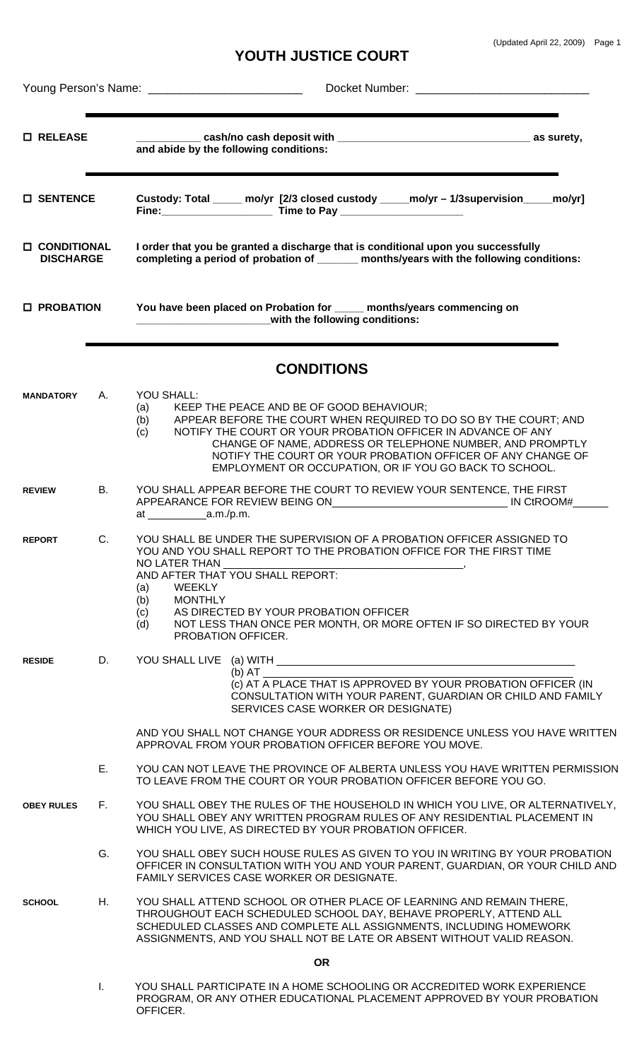## **YOUTH JUSTICE COURT**

| <b>O</b> RELEASE                         |              | and abide by the following conditions:                                                                                                                                                                                                                                                                                                                                                                |  |  |  |  |  |
|------------------------------------------|--------------|-------------------------------------------------------------------------------------------------------------------------------------------------------------------------------------------------------------------------------------------------------------------------------------------------------------------------------------------------------------------------------------------------------|--|--|--|--|--|
| <b>O SENTENCE</b>                        |              | Custody: Total _____ mo/yr [2/3 closed custody _____mo/yr - 1/3supervision____mo/yr]                                                                                                                                                                                                                                                                                                                  |  |  |  |  |  |
| <b>O CONDITIONAL</b><br><b>DISCHARGE</b> |              | I order that you be granted a discharge that is conditional upon you successfully<br>completing a period of probation of ______ months/years with the following conditions:                                                                                                                                                                                                                           |  |  |  |  |  |
| <b>O</b> PROBATION                       |              | You have been placed on Probation for ____ months/years commencing on<br>with the following conditions:                                                                                                                                                                                                                                                                                               |  |  |  |  |  |
|                                          |              | <b>CONDITIONS</b>                                                                                                                                                                                                                                                                                                                                                                                     |  |  |  |  |  |
| <b>MANDATORY</b>                         | A.           | YOU SHALL:<br>KEEP THE PEACE AND BE OF GOOD BEHAVIOUR;<br>(a)<br>APPEAR BEFORE THE COURT WHEN REQUIRED TO DO SO BY THE COURT; AND<br>(b)<br>NOTIFY THE COURT OR YOUR PROBATION OFFICER IN ADVANCE OF ANY<br>(c)<br>CHANGE OF NAME, ADDRESS OR TELEPHONE NUMBER, AND PROMPTLY<br>NOTIFY THE COURT OR YOUR PROBATION OFFICER OF ANY CHANGE OF<br>EMPLOYMENT OR OCCUPATION, OR IF YOU GO BACK TO SCHOOL. |  |  |  |  |  |
| <b>REVIEW</b>                            | В.           | YOU SHALL APPEAR BEFORE THE COURT TO REVIEW YOUR SENTENCE, THE FIRST<br>at $a.m./p.m.$                                                                                                                                                                                                                                                                                                                |  |  |  |  |  |
| <b>REPORT</b>                            | C.           | YOU SHALL BE UNDER THE SUPERVISION OF A PROBATION OFFICER ASSIGNED TO<br>YOU AND YOU SHALL REPORT TO THE PROBATION OFFICE FOR THE FIRST TIME<br>NO LATER THAN<br>AND AFTER THAT YOU SHALL REPORT:<br><b>WEEKLY</b><br>(a)<br><b>MONTHLY</b><br>(b)<br>AS DIRECTED BY YOUR PROBATION OFFICER<br>(c)<br>(d)<br>NOT LESS THAN ONCE PER MONTH, OR MORE OFTEN IF SO DIRECTED BY YOUR<br>PROBATION OFFICER. |  |  |  |  |  |
| <b>RESIDE</b>                            | D.           | $(b)$ AT<br>(c) AT A PLACE THAT IS APPROVED BY YOUR PROBATION OFFICER (IN<br>CONSULTATION WITH YOUR PARENT, GUARDIAN OR CHILD AND FAMILY<br>SERVICES CASE WORKER OR DESIGNATE)<br>AND YOU SHALL NOT CHANGE YOUR ADDRESS OR RESIDENCE UNLESS YOU HAVE WRITTEN<br>APPROVAL FROM YOUR PROBATION OFFICER BEFORE YOU MOVE.                                                                                 |  |  |  |  |  |
|                                          | $E_{\rm{H}}$ | YOU CAN NOT LEAVE THE PROVINCE OF ALBERTA UNLESS YOU HAVE WRITTEN PERMISSION<br>TO LEAVE FROM THE COURT OR YOUR PROBATION OFFICER BEFORE YOU GO.                                                                                                                                                                                                                                                      |  |  |  |  |  |
| <b>OBEY RULES</b>                        | F.           | YOU SHALL OBEY THE RULES OF THE HOUSEHOLD IN WHICH YOU LIVE, OR ALTERNATIVELY,<br>YOU SHALL OBEY ANY WRITTEN PROGRAM RULES OF ANY RESIDENTIAL PLACEMENT IN<br>WHICH YOU LIVE, AS DIRECTED BY YOUR PROBATION OFFICER.                                                                                                                                                                                  |  |  |  |  |  |
|                                          | G.           | YOU SHALL OBEY SUCH HOUSE RULES AS GIVEN TO YOU IN WRITING BY YOUR PROBATION<br>OFFICER IN CONSULTATION WITH YOU AND YOUR PARENT, GUARDIAN, OR YOUR CHILD AND<br>FAMILY SERVICES CASE WORKER OR DESIGNATE.                                                                                                                                                                                            |  |  |  |  |  |
| <b>SCHOOL</b>                            | Н.           | YOU SHALL ATTEND SCHOOL OR OTHER PLACE OF LEARNING AND REMAIN THERE,<br>THROUGHOUT EACH SCHEDULED SCHOOL DAY, BEHAVE PROPERLY, ATTEND ALL<br>SCHEDULED CLASSES AND COMPLETE ALL ASSIGNMENTS, INCLUDING HOMEWORK<br>ASSIGNMENTS, AND YOU SHALL NOT BE LATE OR ABSENT WITHOUT VALID REASON.                                                                                                             |  |  |  |  |  |
|                                          | <b>OR</b>    |                                                                                                                                                                                                                                                                                                                                                                                                       |  |  |  |  |  |
|                                          | T.           | YOU SHALL PARTICIPATE IN A HOME SCHOOLING OR ACCREDITED WORK EXPERIENCE<br>PROGRAM, OR ANY OTHER EDUCATIONAL PLACEMENT APPROVED BY YOUR PROBATION<br>OFFICER.                                                                                                                                                                                                                                         |  |  |  |  |  |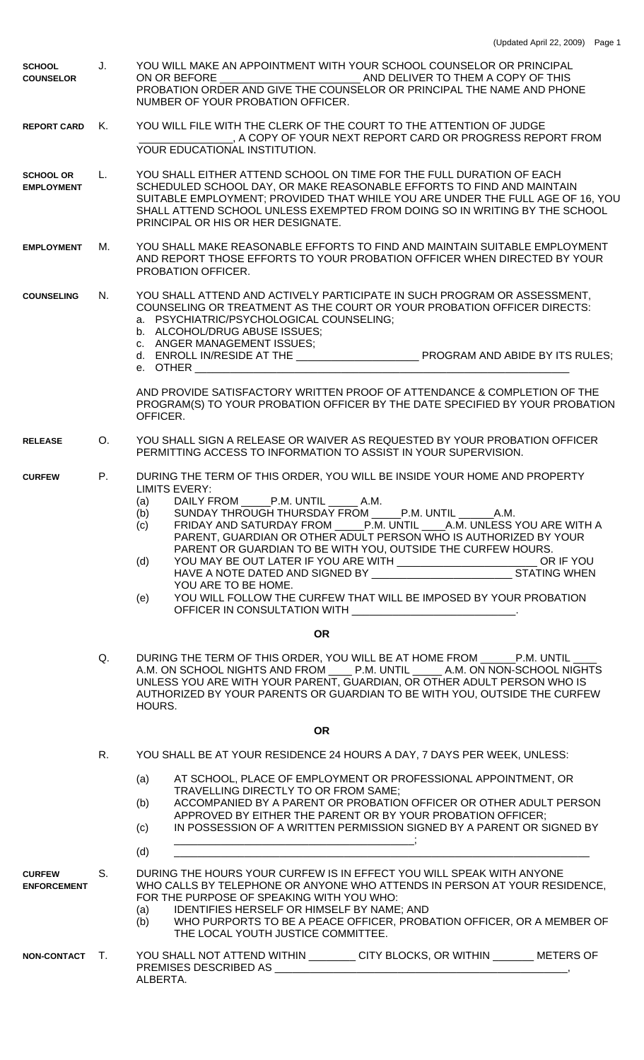| <b>SCHOOL</b><br><b>COUNSELOR</b>     | J. | YOU WILL MAKE AN APPOINTMENT WITH YOUR SCHOOL COUNSELOR OR PRINCIPAL<br>ON OR BEFORE AND DELIVER TO THEM A COPY OF THIS<br>PROBATION ORDER AND GIVE THE COUNSELOR OR PRINCIPAL THE NAME AND PHONE<br>NUMBER OF YOUR PROBATION OFFICER.                                                                                                                                                                                                                                                                                                                                                                                                                                                |  |  |  |
|---------------------------------------|----|---------------------------------------------------------------------------------------------------------------------------------------------------------------------------------------------------------------------------------------------------------------------------------------------------------------------------------------------------------------------------------------------------------------------------------------------------------------------------------------------------------------------------------------------------------------------------------------------------------------------------------------------------------------------------------------|--|--|--|
| <b>REPORT CARD</b>                    |    | YOU WILL FILE WITH THE CLERK OF THE COURT TO THE ATTENTION OF JUDGE<br>, A COPY OF YOUR NEXT REPORT CARD OR PROGRESS REPORT FROM<br>YOUR EDUCATIONAL INSTITUTION.                                                                                                                                                                                                                                                                                                                                                                                                                                                                                                                     |  |  |  |
| <b>SCHOOL OR</b><br><b>EMPLOYMENT</b> | L. | YOU SHALL EITHER ATTEND SCHOOL ON TIME FOR THE FULL DURATION OF EACH<br>SCHEDULED SCHOOL DAY, OR MAKE REASONABLE EFFORTS TO FIND AND MAINTAIN<br>SUITABLE EMPLOYMENT; PROVIDED THAT WHILE YOU ARE UNDER THE FULL AGE OF 16, YOU<br>SHALL ATTEND SCHOOL UNLESS EXEMPTED FROM DOING SO IN WRITING BY THE SCHOOL<br>PRINCIPAL OR HIS OR HER DESIGNATE.                                                                                                                                                                                                                                                                                                                                   |  |  |  |
| <b>EMPLOYMENT</b>                     | М. | YOU SHALL MAKE REASONABLE EFFORTS TO FIND AND MAINTAIN SUITABLE EMPLOYMENT<br>AND REPORT THOSE EFFORTS TO YOUR PROBATION OFFICER WHEN DIRECTED BY YOUR<br>PROBATION OFFICER.                                                                                                                                                                                                                                                                                                                                                                                                                                                                                                          |  |  |  |
| <b>COUNSELING</b>                     | N. | YOU SHALL ATTEND AND ACTIVELY PARTICIPATE IN SUCH PROGRAM OR ASSESSMENT,<br>COUNSELING OR TREATMENT AS THE COURT OR YOUR PROBATION OFFICER DIRECTS:<br>a. PSYCHIATRIC/PSYCHOLOGICAL COUNSELING;<br>b. ALCOHOL/DRUG ABUSE ISSUES;<br>c. ANGER MANAGEMENT ISSUES;                                                                                                                                                                                                                                                                                                                                                                                                                       |  |  |  |
|                                       |    | e. OTHER                                                                                                                                                                                                                                                                                                                                                                                                                                                                                                                                                                                                                                                                              |  |  |  |
|                                       |    | AND PROVIDE SATISFACTORY WRITTEN PROOF OF ATTENDANCE & COMPLETION OF THE<br>PROGRAM(S) TO YOUR PROBATION OFFICER BY THE DATE SPECIFIED BY YOUR PROBATION<br>OFFICER.                                                                                                                                                                                                                                                                                                                                                                                                                                                                                                                  |  |  |  |
| <b>RELEASE</b>                        | O. | YOU SHALL SIGN A RELEASE OR WAIVER AS REQUESTED BY YOUR PROBATION OFFICER<br>PERMITTING ACCESS TO INFORMATION TO ASSIST IN YOUR SUPERVISION.                                                                                                                                                                                                                                                                                                                                                                                                                                                                                                                                          |  |  |  |
| <b>CURFEW</b>                         | P. | DURING THE TERM OF THIS ORDER, YOU WILL BE INSIDE YOUR HOME AND PROPERTY<br><b>LIMITS EVERY:</b><br>DAILY FROM P.M. UNTIL A.M.<br>(a)<br>(b)<br>SUNDAY THROUGH THURSDAY FROM _____P.M. UNTIL _______ A.M.<br>(c) FRIDAY AND SATURDAY FROM _____P.M. UNTIL _____A.M. UNLESS YOU ARE WITH A<br>PARENT, GUARDIAN OR OTHER ADULT PERSON WHO IS AUTHORIZED BY YOUR<br>PARENT OR GUARDIAN TO BE WITH YOU, OUTSIDE THE CURFEW HOURS.<br>YOU MAY BE OUT LATER IF YOU ARE WITH ____________________________OR IF YOU<br>(d)<br>YOU ARE TO BE HOME.<br>YOU WILL FOLLOW THE CURFEW THAT WILL BE IMPOSED BY YOUR PROBATION<br>(e)<br>OFFICER IN CONSULTATION WITH ______________________________. |  |  |  |
|                                       |    | <b>OR</b>                                                                                                                                                                                                                                                                                                                                                                                                                                                                                                                                                                                                                                                                             |  |  |  |
|                                       | Q. | DURING THE TERM OF THIS ORDER, YOU WILL BE AT HOME FROM _______ P.M. UNTIL<br>A.M. ON SCHOOL NIGHTS AND FROM _____ P.M. UNTIL ______ A.M. ON NON-SCHOOL NIGHTS<br>UNLESS YOU ARE WITH YOUR PARENT, GUARDIAN, OR OTHER ADULT PERSON WHO IS<br>AUTHORIZED BY YOUR PARENTS OR GUARDIAN TO BE WITH YOU, OUTSIDE THE CURFEW<br>HOURS.                                                                                                                                                                                                                                                                                                                                                      |  |  |  |
| <b>OR</b>                             |    |                                                                                                                                                                                                                                                                                                                                                                                                                                                                                                                                                                                                                                                                                       |  |  |  |
|                                       | R. | YOU SHALL BE AT YOUR RESIDENCE 24 HOURS A DAY, 7 DAYS PER WEEK, UNLESS:                                                                                                                                                                                                                                                                                                                                                                                                                                                                                                                                                                                                               |  |  |  |
|                                       |    | AT SCHOOL, PLACE OF EMPLOYMENT OR PROFESSIONAL APPOINTMENT, OR<br>(a)<br>TRAVELLING DIRECTLY TO OR FROM SAME;<br>ACCOMPANIED BY A PARENT OR PROBATION OFFICER OR OTHER ADULT PERSON<br>(b)<br>APPROVED BY EITHER THE PARENT OR BY YOUR PROBATION OFFICER;<br>IN POSSESSION OF A WRITTEN PERMISSION SIGNED BY A PARENT OR SIGNED BY<br>(c)<br>(d)                                                                                                                                                                                                                                                                                                                                      |  |  |  |
| <b>CURFEW</b><br><b>ENFORCEMENT</b>   | S. | DURING THE HOURS YOUR CURFEW IS IN EFFECT YOU WILL SPEAK WITH ANYONE<br>WHO CALLS BY TELEPHONE OR ANYONE WHO ATTENDS IN PERSON AT YOUR RESIDENCE,<br>FOR THE PURPOSE OF SPEAKING WITH YOU WHO:<br>IDENTIFIES HERSELF OR HIMSELF BY NAME; AND<br>(a)<br>WHO PURPORTS TO BE A PEACE OFFICER, PROBATION OFFICER, OR A MEMBER OF<br>(b)<br>THE LOCAL YOUTH JUSTICE COMMITTEE.                                                                                                                                                                                                                                                                                                             |  |  |  |
| NON-CONTACT T.                        |    | YOU SHALL NOT ATTEND WITHIN ___________ CITY BLOCKS, OR WITHIN ________ METERS OF<br>ALBERTA.                                                                                                                                                                                                                                                                                                                                                                                                                                                                                                                                                                                         |  |  |  |